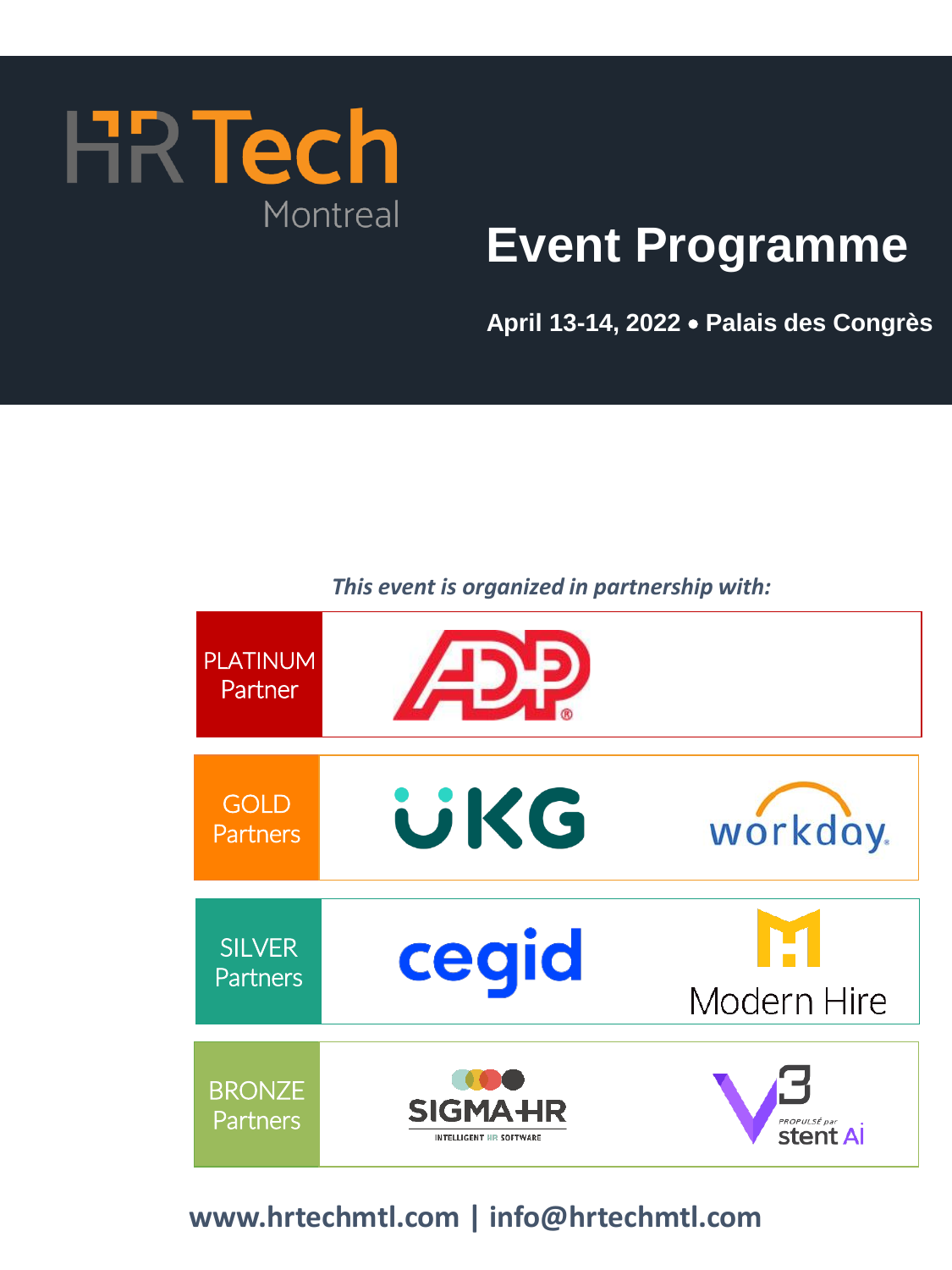

# **Event Programme**

**April 13-14, 2022** • **Palais des Congrès** 

# *This event is organized in partnership with:*

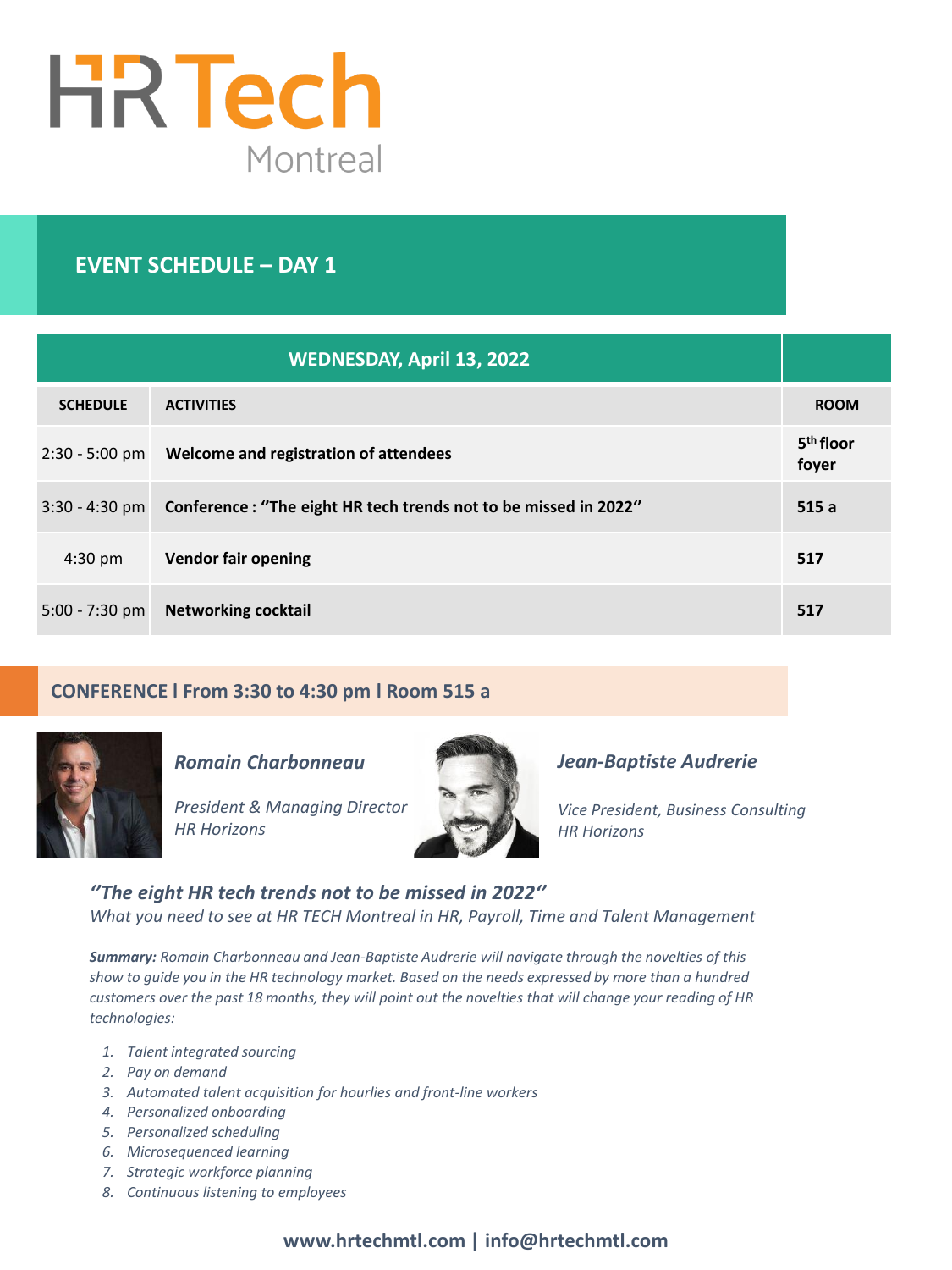

# **EVENT SCHEDULE – DAY 1**

| <b>WEDNESDAY, April 13, 2022</b> |                                                                                |                                |
|----------------------------------|--------------------------------------------------------------------------------|--------------------------------|
| <b>SCHEDULE</b>                  | <b>ACTIVITIES</b>                                                              | <b>ROOM</b>                    |
| 2:30 - 5:00 pm                   | Welcome and registration of attendees                                          | 5 <sup>th</sup> floor<br>foyer |
|                                  | 3:30 - 4:30 pm Conference: "The eight HR tech trends not to be missed in 2022" | 515a                           |
| $4:30$ pm                        | <b>Vendor fair opening</b>                                                     | 517                            |
| $5:00 - 7:30$ pm                 | <b>Networking cocktail</b>                                                     | 517                            |

# **CONFERENCE l From 3:30 to 4:30 pm l Room 515 a**



*Romain Charbonneau*

*President & Managing Director HR Horizons*



# *Jean-Baptiste Audrerie*

*Vice President, Business Consulting HR Horizons*

*''The eight HR tech trends not to be missed in 2022'' What you need to see at HR TECH Montreal in HR, Payroll, Time and Talent Management*

*Summary: Romain Charbonneau and Jean-Baptiste Audrerie will navigate through the novelties of this show to guide you in the HR technology market. Based on the needs expressed by more than a hundred customers over the past 18 months, they will point out the novelties that will change your reading of HR technologies:* 

- *1. Talent integrated sourcing*
- *2. Pay on demand*
- *3. Automated talent acquisition for hourlies and front-line workers*
- *4. Personalized onboarding*
- *5. Personalized scheduling*
- *6. Microsequenced learning*
- *7. Strategic workforce planning*
- *8. Continuous listening to employees*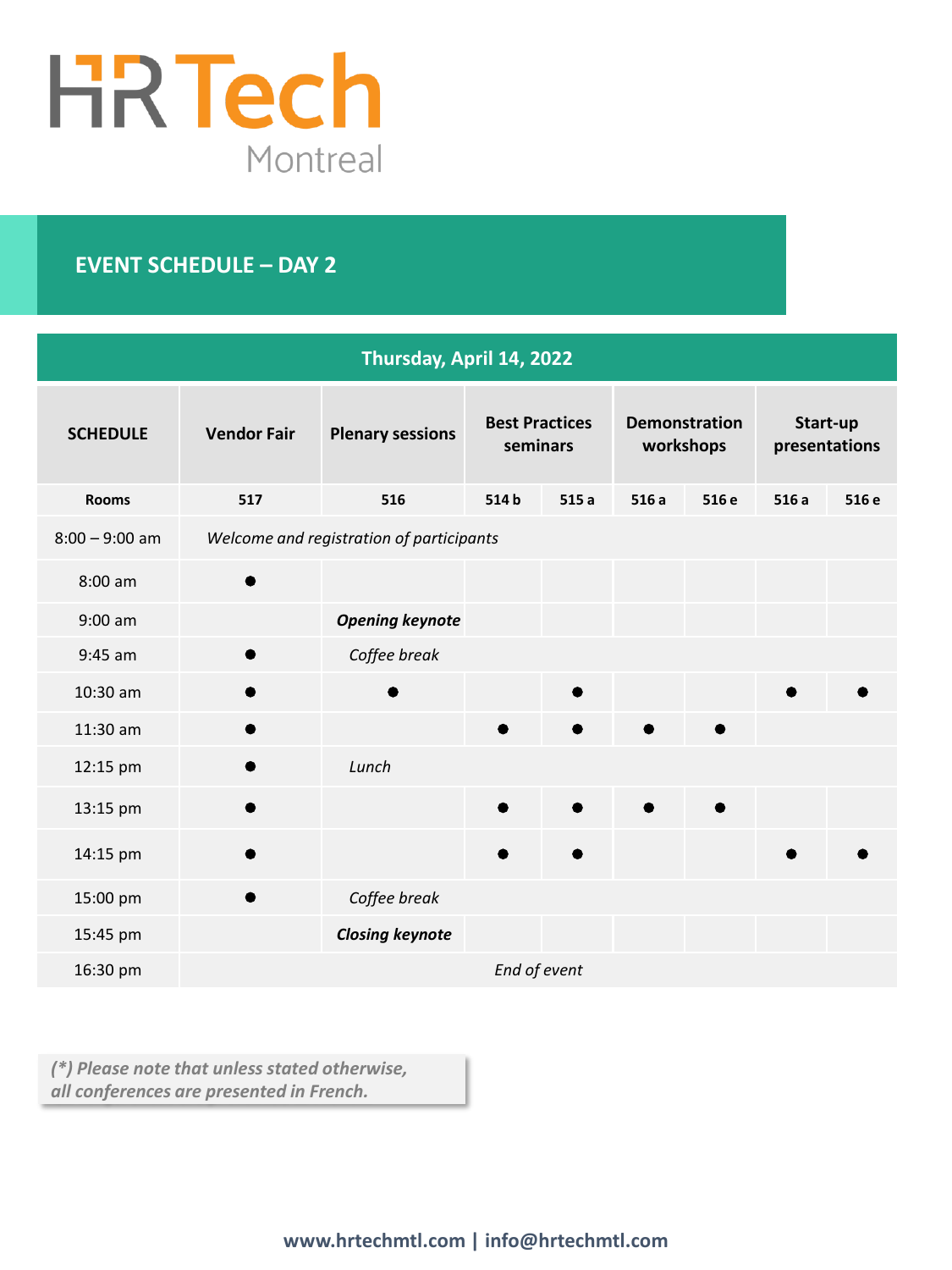

# **EVENT SCHEDULE – DAY 2**

| Thursday, April 14, 2022 |                    |                                          |                                   |           |      |                                   |      |                           |
|--------------------------|--------------------|------------------------------------------|-----------------------------------|-----------|------|-----------------------------------|------|---------------------------|
| <b>SCHEDULE</b>          | <b>Vendor Fair</b> | <b>Plenary sessions</b>                  | <b>Best Practices</b><br>seminars |           |      | <b>Demonstration</b><br>workshops |      | Start-up<br>presentations |
| <b>Rooms</b>             | 517                | 516                                      | 514b                              | 515a      | 516a | 516 e                             | 516a | 516 e                     |
| $8:00 - 9:00$ am         |                    | Welcome and registration of participants |                                   |           |      |                                   |      |                           |
| 8:00 am                  |                    |                                          |                                   |           |      |                                   |      |                           |
| $9:00$ am                |                    | <b>Opening keynote</b>                   |                                   |           |      |                                   |      |                           |
| $9:45$ am                |                    | Coffee break                             |                                   |           |      |                                   |      |                           |
| 10:30 am                 |                    |                                          |                                   |           |      |                                   |      |                           |
| 11:30 am                 | e                  |                                          | 0                                 |           |      | ●                                 |      |                           |
| 12:15 pm                 |                    | Lunch                                    |                                   |           |      |                                   |      |                           |
| 13:15 pm                 | $\bullet$          |                                          | ●                                 | $\bullet$ |      | $\bullet$                         |      |                           |
| 14:15 pm                 |                    |                                          |                                   |           |      |                                   |      |                           |
| 15:00 pm                 |                    | Coffee break                             |                                   |           |      |                                   |      |                           |
| 15:45 pm                 |                    | <b>Closing keynote</b>                   |                                   |           |      |                                   |      |                           |
| 16:30 pm                 |                    |                                          | End of event                      |           |      |                                   |      |                           |

*(\*) Please note that unless stated otherwise, all conferences are presented in French.*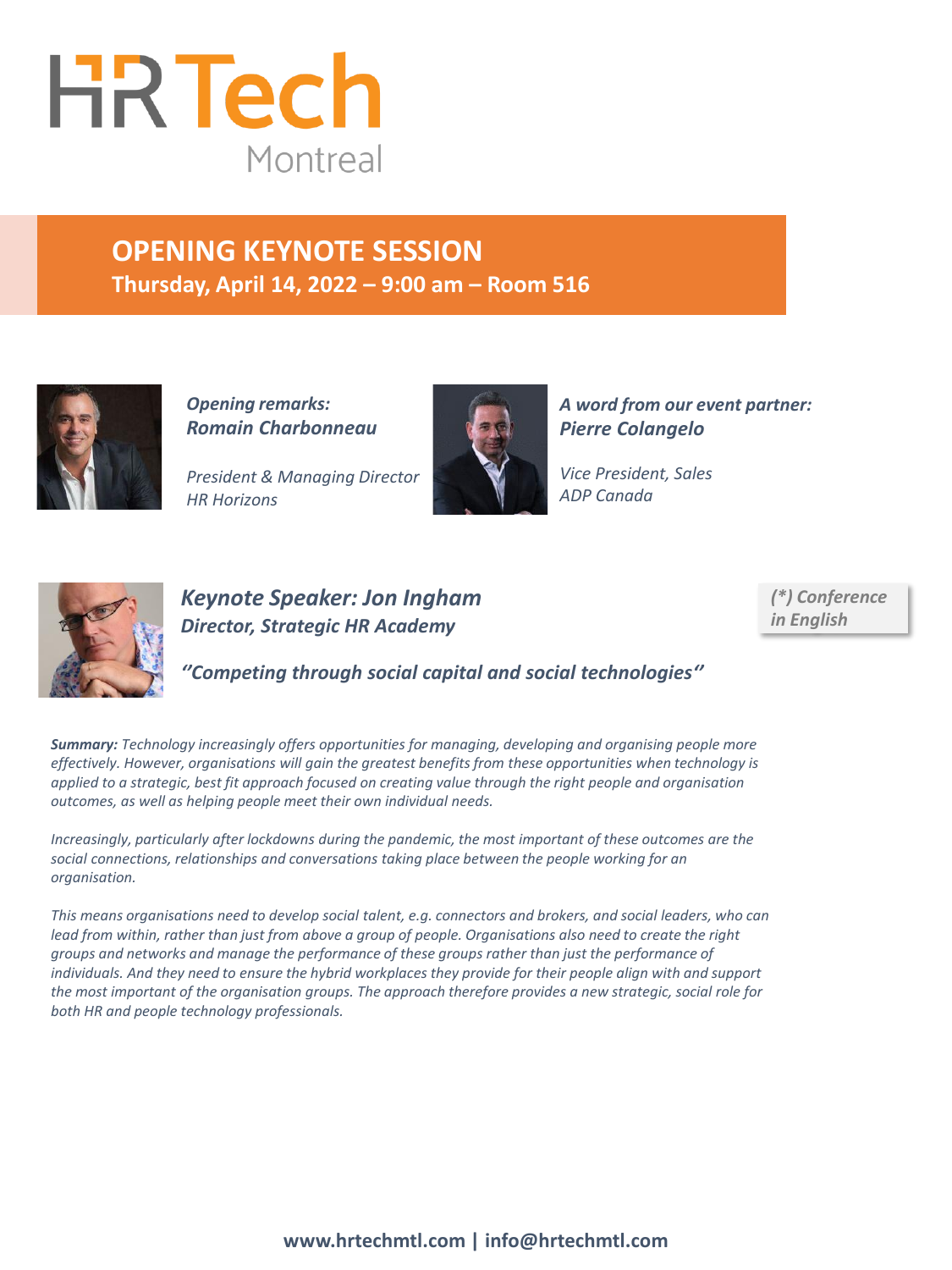

# **OPENING KEYNOTE SESSION Thursday, April 14, 2022 – 9:00 am – Room 516**



*Opening remarks: Romain Charbonneau*

*President & Managing Director HR Horizons*



*A word from our event partner: Pierre Colangelo*

*Vice President, Sales ADP Canada*



# *Keynote Speaker: Jon Ingham Director, Strategic HR Academy*

*(\*) Conference in English*

*''Competing through social capital and social technologies''*

*Summary: Technology increasingly offers opportunities for managing, developing and organising people more effectively. However, organisations will gain the greatest benefits from these opportunities when technology is applied to a strategic, best fit approach focused on creating value through the right people and organisation outcomes, as well as helping people meet their own individual needs.* 

*Increasingly, particularly after lockdowns during the pandemic, the most important of these outcomes are the social connections, relationships and conversations taking place between the people working for an organisation.*

*This means organisations need to develop social talent, e.g. connectors and brokers, and social leaders, who can lead from within, rather than just from above a group of people. Organisations also need to create the right groups and networks and manage the performance of these groups rather than just the performance of individuals. And they need to ensure the hybrid workplaces they provide for their people align with and support the most important of the organisation groups. The approach therefore provides a new strategic, social role for both HR and people technology professionals.*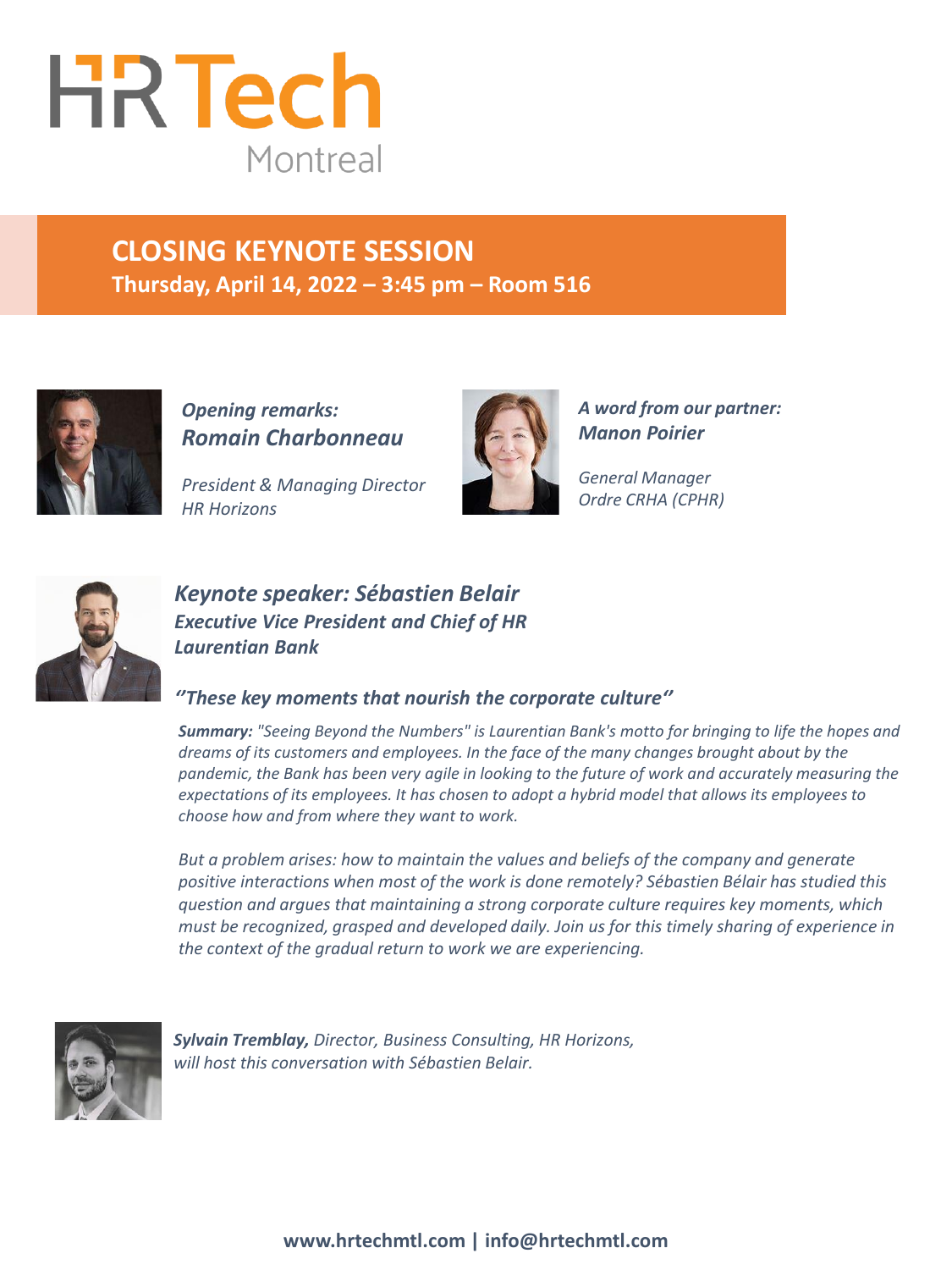

# **CLOSING KEYNOTE SESSION Thursday, April 14, 2022 – 3:45 pm – Room 516**



*Opening remarks: Romain Charbonneau*

*President & Managing Director HR Horizons*



*A word from our partner: Manon Poirier* 

*General Manager Ordre CRHA (CPHR)*



# *Keynote speaker: Sébastien Belair Executive Vice President and Chief of HR Laurentian Bank*

# *''These key moments that nourish the corporate culture''*

*Summary: "Seeing Beyond the Numbers" is Laurentian Bank's motto for bringing to life the hopes and dreams of its customers and employees. In the face of the many changes brought about by the pandemic, the Bank has been very agile in looking to the future of work and accurately measuring the expectations of its employees. It has chosen to adopt a hybrid model that allows its employees to choose how and from where they want to work.* 

*But a problem arises: how to maintain the values and beliefs of the company and generate positive interactions when most of the work is done remotely? Sébastien Bélair has studied this question and argues that maintaining a strong corporate culture requires key moments, which must be recognized, grasped and developed daily. Join us for this timely sharing of experience in the context of the gradual return to work we are experiencing.*



*Sylvain Tremblay, Director, Business Consulting, HR Horizons, will host this conversation with Sébastien Belair.*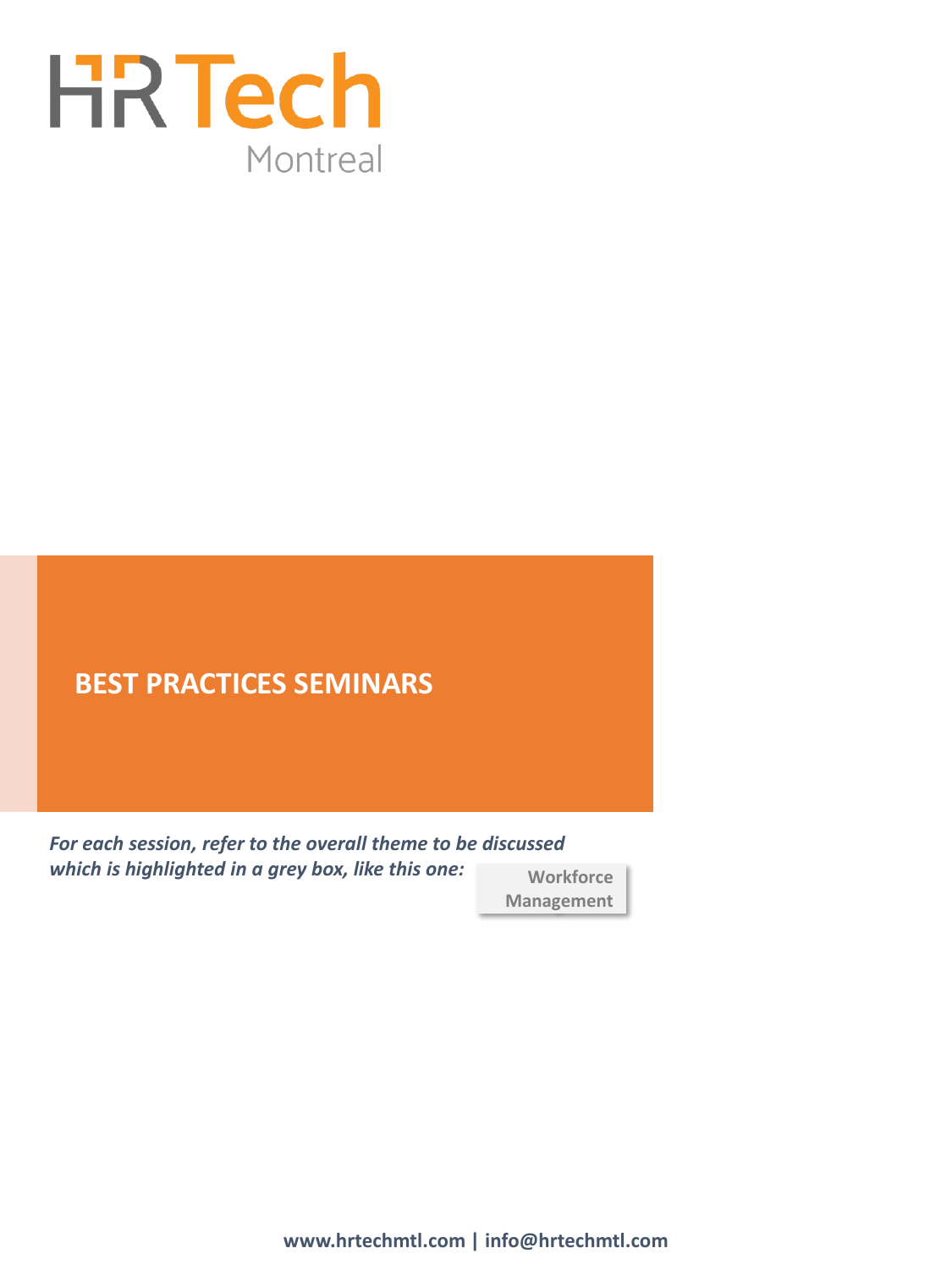

**Workforce Management** *For each session, refer to the overall theme to be discussed which is highlighted in a grey box, like this one:*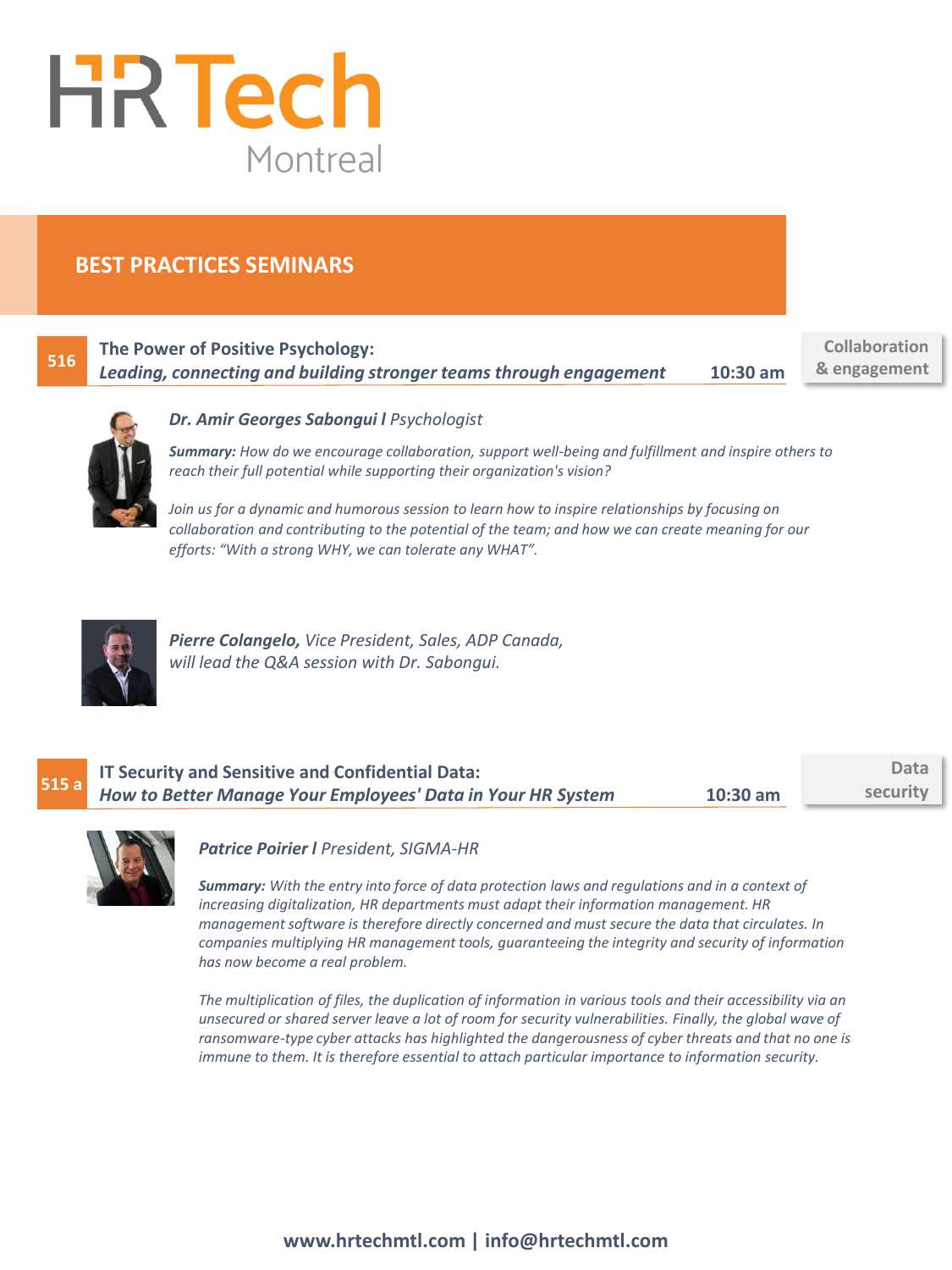

# **516**

**The Power of Positive Psychology:** *Leading, connecting and building stronger teams through engagement* **10:30 am**

**Collaboration & engagement**



#### *Dr. Amir Georges Sabongui l Psychologist*

*Summary: How do we encourage collaboration, support well-being and fulfillment and inspire others to reach their full potential while supporting their organization's vision?* 

*Join us for a dynamic and humorous session to learn how to inspire relationships by focusing on collaboration and contributing to the potential of the team; and how we can create meaning for our efforts: "With a strong WHY, we can tolerate any WHAT".* 



*Pierre Colangelo, Vice President, Sales, ADP Canada, will lead the Q&A session with Dr. Sabongui.*

| 515a | IT Security and Sensitive and Confidential Data:                          | Data     |
|------|---------------------------------------------------------------------------|----------|
|      | How to Better Manage Your Employees' Data in Your HR System<br>$10:30$ am | security |



#### *Patrice Poirier l President, SIGMA-HR*

*Summary: With the entry into force of data protection laws and regulations and in a context of increasing digitalization, HR departments must adapt their information management. HR management software is therefore directly concerned and must secure the data that circulates. In companies multiplying HR management tools, guaranteeing the integrity and security of information has now become a real problem.* 

*The multiplication of files, the duplication of information in various tools and their accessibility via an unsecured or shared server leave a lot of room for security vulnerabilities. Finally, the global wave of ransomware-type cyber attacks has highlighted the dangerousness of cyber threats and that no one is immune to them. It is therefore essential to attach particular importance to information security.*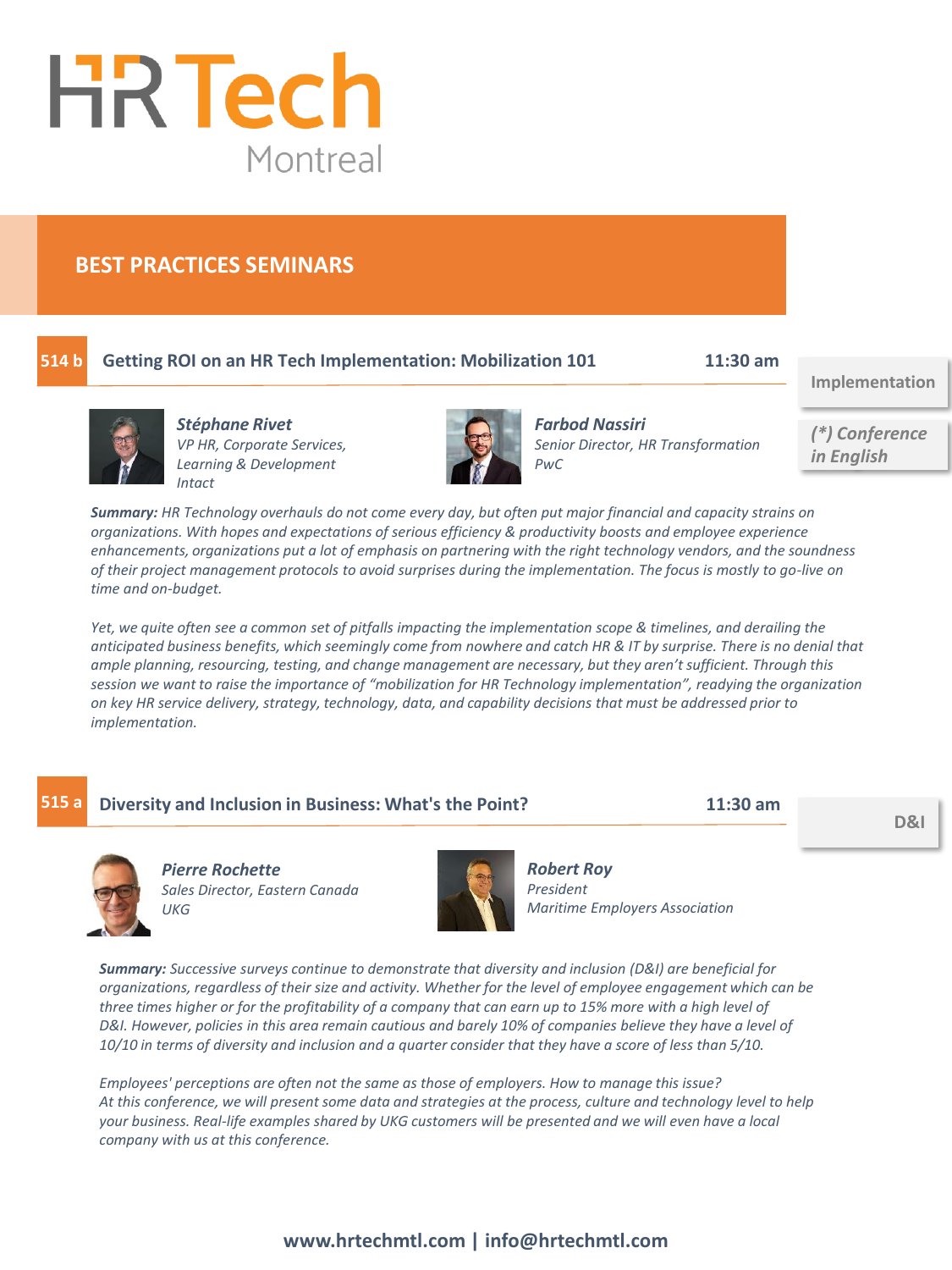

# **514 b**

# **Getting ROI on an HR Tech Implementation: Mobilization 101 11:30 am**

**Implementation**



*Stéphane Rivet VP HR, Corporate Services, Learning & Development Intact*



*Farbod Nassiri Senior Director, HR Transformation PwC*

*(\*) Conference in English*

*Summary: HR Technology overhauls do not come every day, but often put major financial and capacity strains on organizations. With hopes and expectations of serious efficiency & productivity boosts and employee experience enhancements, organizations put a lot of emphasis on partnering with the right technology vendors, and the soundness of their project management protocols to avoid surprises during the implementation. The focus is mostly to go-live on time and on-budget.* 

*Yet, we quite often see a common set of pitfalls impacting the implementation scope & timelines, and derailing the anticipated business benefits, which seemingly come from nowhere and catch HR & IT by surprise. There is no denial that ample planning, resourcing, testing, and change management are necessary, but they aren't sufficient. Through this session we want to raise the importance of "mobilization for HR Technology implementation", readying the organization on key HR service delivery, strategy, technology, data, and capability decisions that must be addressed prior to implementation.* 

| 515a | Diversity and Inclusion in Business: What's the Point?                                                                                                                                                                                                                                                                                                                                                                                                                                                                                                                          |           | $11:30$ am                                                 | D&I |
|------|---------------------------------------------------------------------------------------------------------------------------------------------------------------------------------------------------------------------------------------------------------------------------------------------------------------------------------------------------------------------------------------------------------------------------------------------------------------------------------------------------------------------------------------------------------------------------------|-----------|------------------------------------------------------------|-----|
|      | <b>Pierre Rochette</b><br>Sales Director, Eastern Canada<br>UKG                                                                                                                                                                                                                                                                                                                                                                                                                                                                                                                 | President | <b>Robert Roy</b><br><b>Maritime Employers Association</b> |     |
|      | <b>Summary:</b> Successive surveys continue to demonstrate that diversity and inclusion (D&I) are beneficial for<br>organizations, regardless of their size and activity. Whether for the level of employee engagement which can be<br>three times higher or for the profitability of a company that can earn up to 15% more with a high level of<br>D&I. However, policies in this area remain cautious and barely 10% of companies believe they have a level of<br>10/10 in terms of diversity and inclusion and a quarter consider that they have a score of less than 5/10. |           |                                                            |     |

*Employees' perceptions are often not the same as those of employers. How to manage this issue? At this conference, we will present some data and strategies at the process, culture and technology level to help your business. Real-life examples shared by UKG customers will be presented and we will even have a local company with us at this conference.*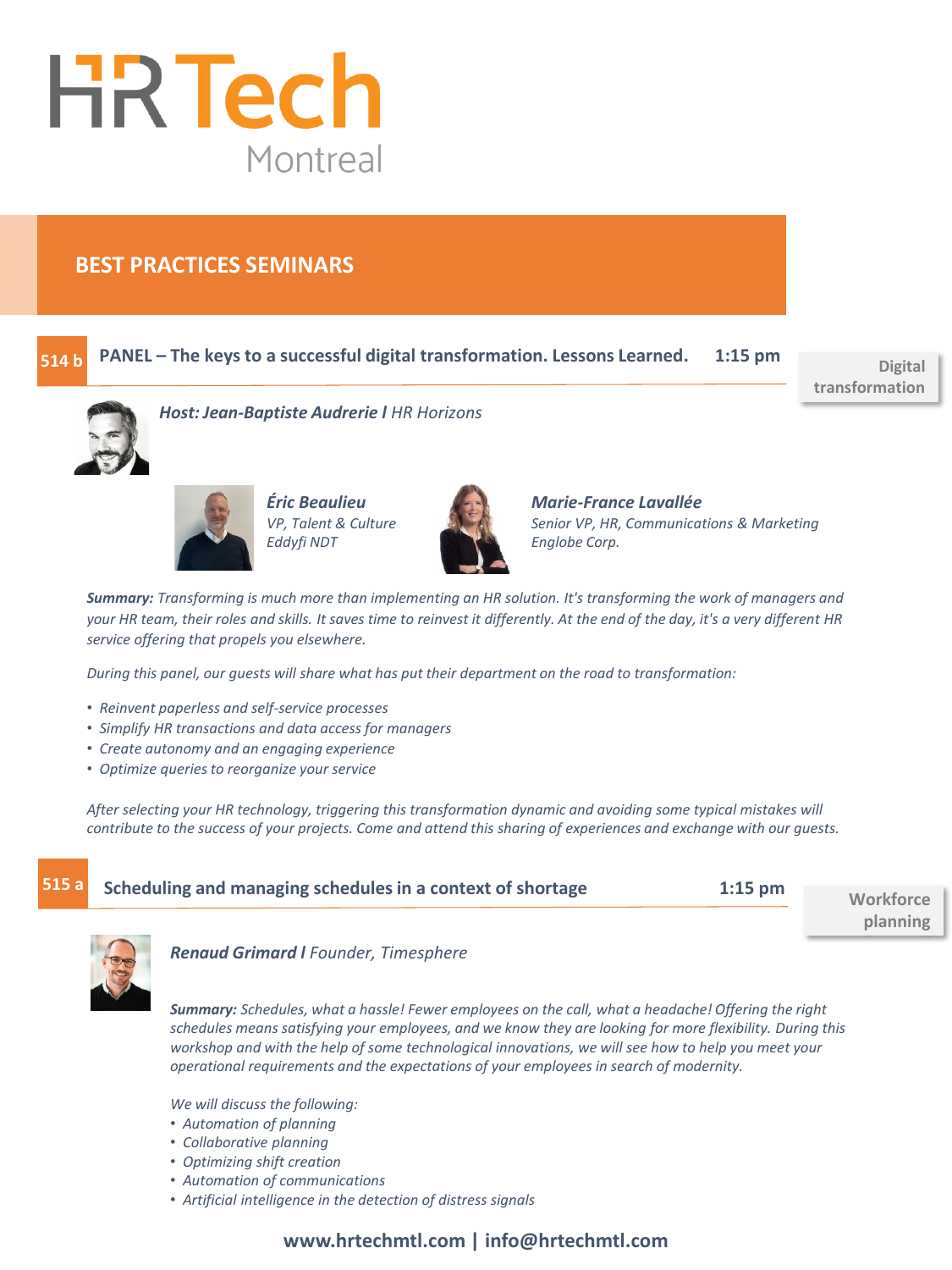

#### **PANEL – The keys to a successful digital transformation. Lessons Learned. 1:15 pm 514 b**

**Digital transformation**



*Host: Jean-Baptiste Audrerie l HR Horizons*



*Éric Beaulieu VP, Talent & Culture Eddyfi NDT*



*Marie-France Lavallée Senior VP, HR, Communications & Marketing Englobe Corp.*

*Summary: Transforming is much more than implementing an HR solution. It's transforming the work of managers and your HR team, their roles and skills. It saves time to reinvest it differently. At the end of the day, it's a very different HR service offering that propels you elsewhere.* 

*During this panel, our guests will share what has put their department on the road to transformation:* 

- *Reinvent paperless and self-service processes*
- *Simplify HR transactions and data access for managers*
- *Create autonomy and an engaging experience*
- *Optimize queries to reorganize your service*

*After selecting your HR technology, triggering this transformation dynamic and avoiding some typical mistakes will contribute to the success of your projects. Come and attend this sharing of experiences and exchange with our guests.*

| 515a | Scheduling and managing schedules in a context of shortage | $1:15$ pm | Workforce |
|------|------------------------------------------------------------|-----------|-----------|
|      |                                                            |           | planning  |



*Renaud Grimard l Founder, Timesphere*

*Summary: Schedules, what a hassle! Fewer employees on the call, what a headache! Offering the right schedules means satisfying your employees, and we know they are looking for more flexibility. During this workshop and with the help of some technological innovations, we will see how to help you meet your operational requirements and the expectations of your employees in search of modernity.*

*We will discuss the following:*

- *Automation of planning*
- *Collaborative planning*
- *Optimizing shift creation*
- *Automation of communications*
- *Artificial intelligence in the detection of distress signals*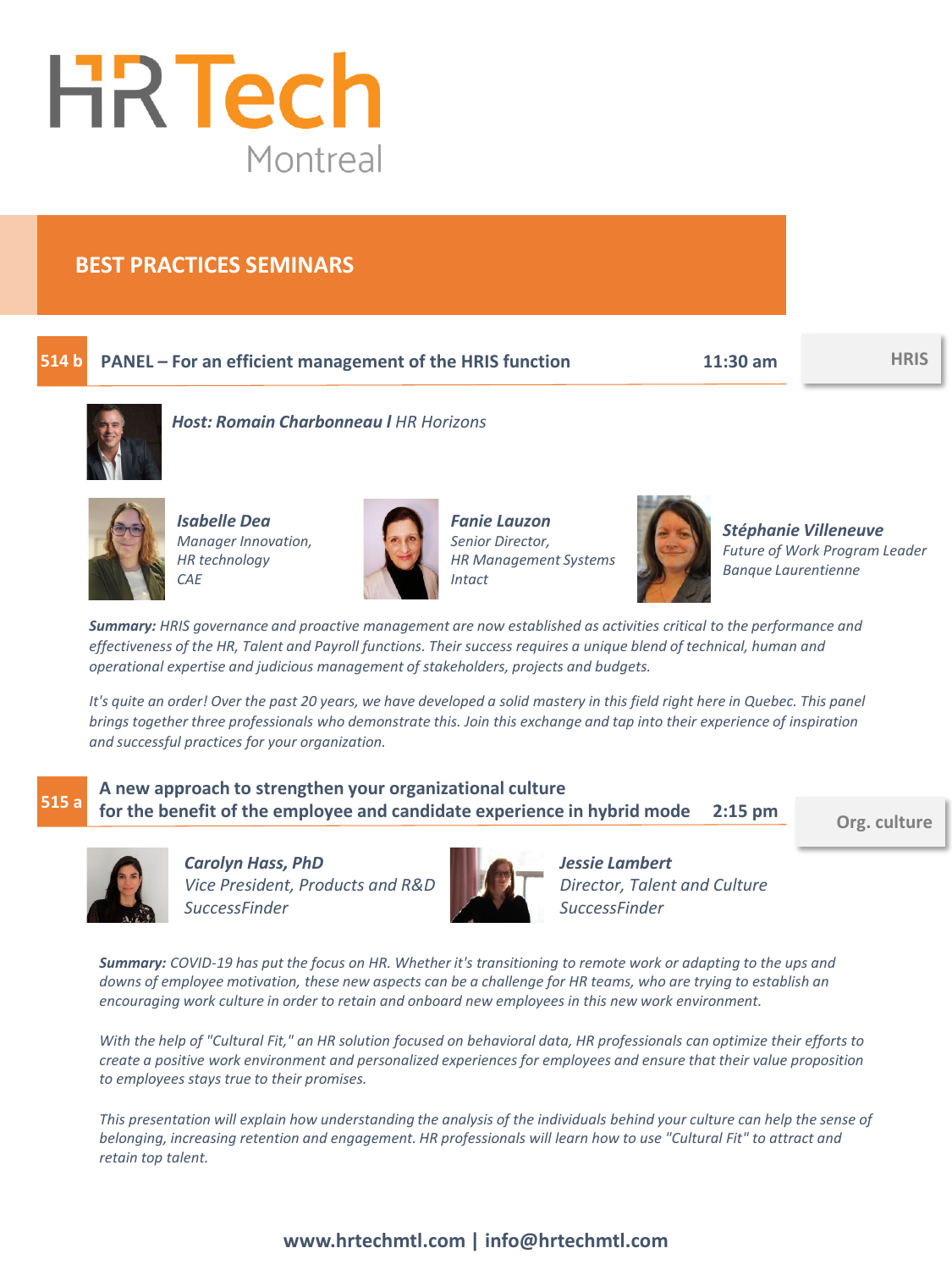

#### **PANEL – For an efficient management of the HRIS function 11:30 am HRIS 514 b**



*Host: Romain Charbonneau l HR Horizons*



*Isabelle Dea Manager Innovation, HR technology CAE*



*Fanie Lauzon Senior Director, HR Management Systems Intact*



*Stéphanie Villeneuve Future of Work Program Leader Banque Laurentienne*

*Summary: HRIS governance and proactive management are now established as activities critical to the performance and effectiveness of the HR, Talent and Payroll functions. Their success requires a unique blend of technical, human and operational expertise and judicious management of stakeholders, projects and budgets.* 

*It's quite an order! Over the past 20 years, we have developed a solid mastery in this field right here in Quebec. This panel brings together three professionals who demonstrate this. Join this exchange and tap into their experience of inspiration and successful practices for your organization.*

# **515 a**

**A new approach to strengthen your organizational culture for the benefit of the employee and candidate experience in hybrid mode 2:15 pm**

**Org. culture**



*Carolyn Hass, PhD Vice President, Products and R&D SuccessFinder*



*Jessie Lambert Director, Talent and Culture SuccessFinder*

*Summary: COVID-19 has put the focus on HR. Whether it's transitioning to remote work or adapting to the ups and downs of employee motivation, these new aspects can be a challenge for HR teams, who are trying to establish an encouraging work culture in order to retain and onboard new employees in this new work environment.* 

*With the help of "Cultural Fit," an HR solution focused on behavioral data, HR professionals can optimize their efforts to create a positive work environment and personalized experiences for employees and ensure that their value proposition to employees stays true to their promises.* 

*This presentation will explain how understanding the analysis of the individuals behind your culture can help the sense of belonging, increasing retention and engagement. HR professionals will learn how to use "Cultural Fit" to attract and retain top talent.*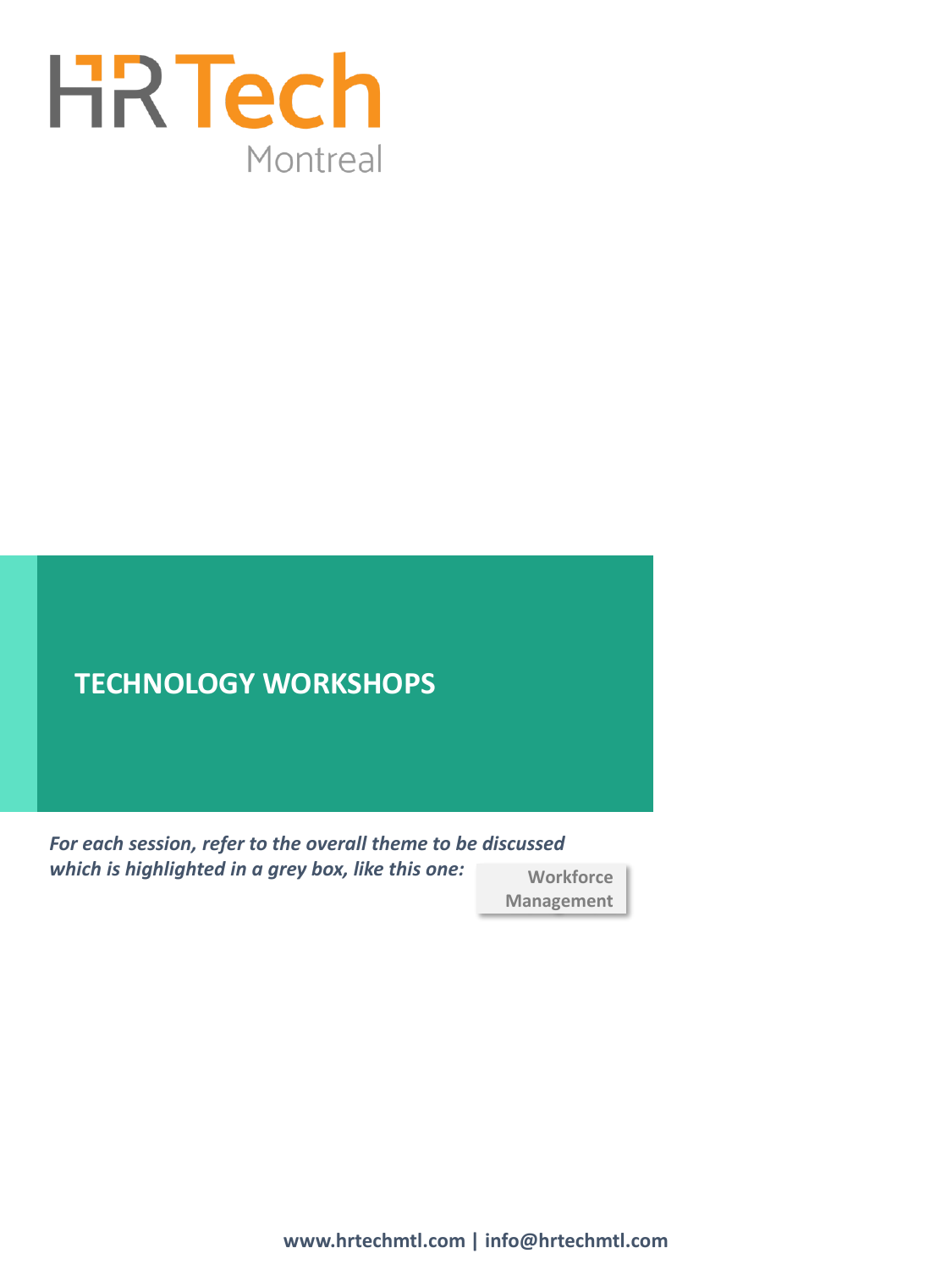

# **TECHNOLOGY WORKSHOPS**

**Workforce Management** *For each session, refer to the overall theme to be discussed which is highlighted in a grey box, like this one:*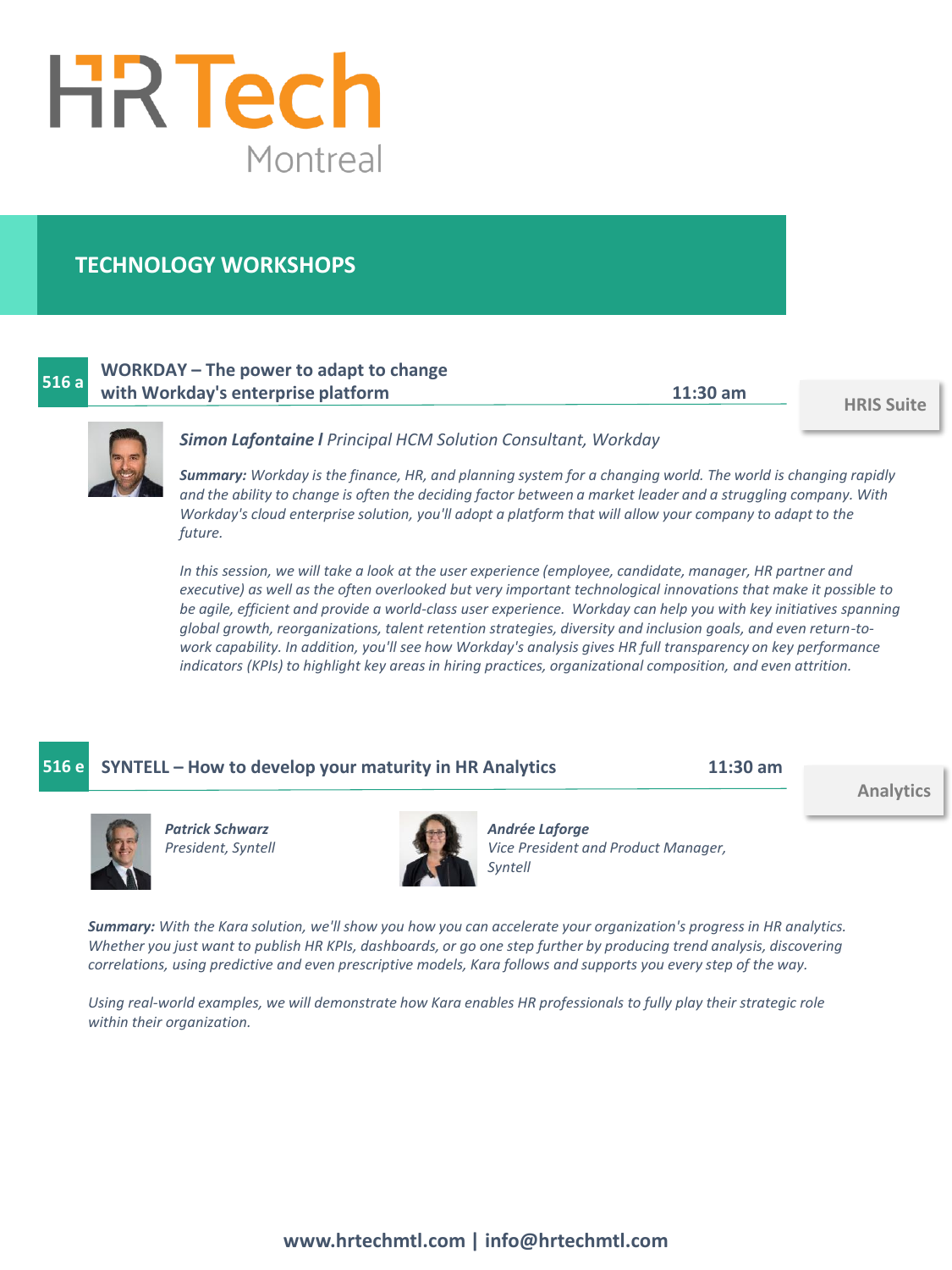

# **TECHNOLOGY WORKSHOPS**

# **516 a**

# **WORKDAY – The power to adapt to change with Workday's enterprise platform 11:30 am HRIS Suite**



#### *Simon Lafontaine l Principal HCM Solution Consultant, Workday*

*Summary: Workday is the finance, HR, and planning system for a changing world. The world is changing rapidly and the ability to change is often the deciding factor between a market leader and a struggling company. With Workday's cloud enterprise solution, you'll adopt a platform that will allow your company to adapt to the future.*

*In this session, we will take a look at the user experience (employee, candidate, manager, HR partner and executive) as well as the often overlooked but very important technological innovations that make it possible to be agile, efficient and provide a world-class user experience. Workday can help you with key initiatives spanning global growth, reorganizations, talent retention strategies, diversity and inclusion goals, and even return-towork capability. In addition, you'll see how Workday's analysis gives HR full transparency on key performance indicators (KPIs) to highlight key areas in hiring practices, organizational composition, and even attrition.*

**516 e SYNTELL – How to develop your maturity in HR Analytics 11:30 am**

**Analytics**



*Patrick Schwarz President, Syntell*



*Andrée Laforge Vice President and Product Manager, Syntell*

*Summary: With the Kara solution, we'll show you how you can accelerate your organization's progress in HR analytics. Whether you just want to publish HR KPIs, dashboards, or go one step further by producing trend analysis, discovering correlations, using predictive and even prescriptive models, Kara follows and supports you every step of the way.* 

*Using real-world examples, we will demonstrate how Kara enables HR professionals to fully play their strategic role within their organization.*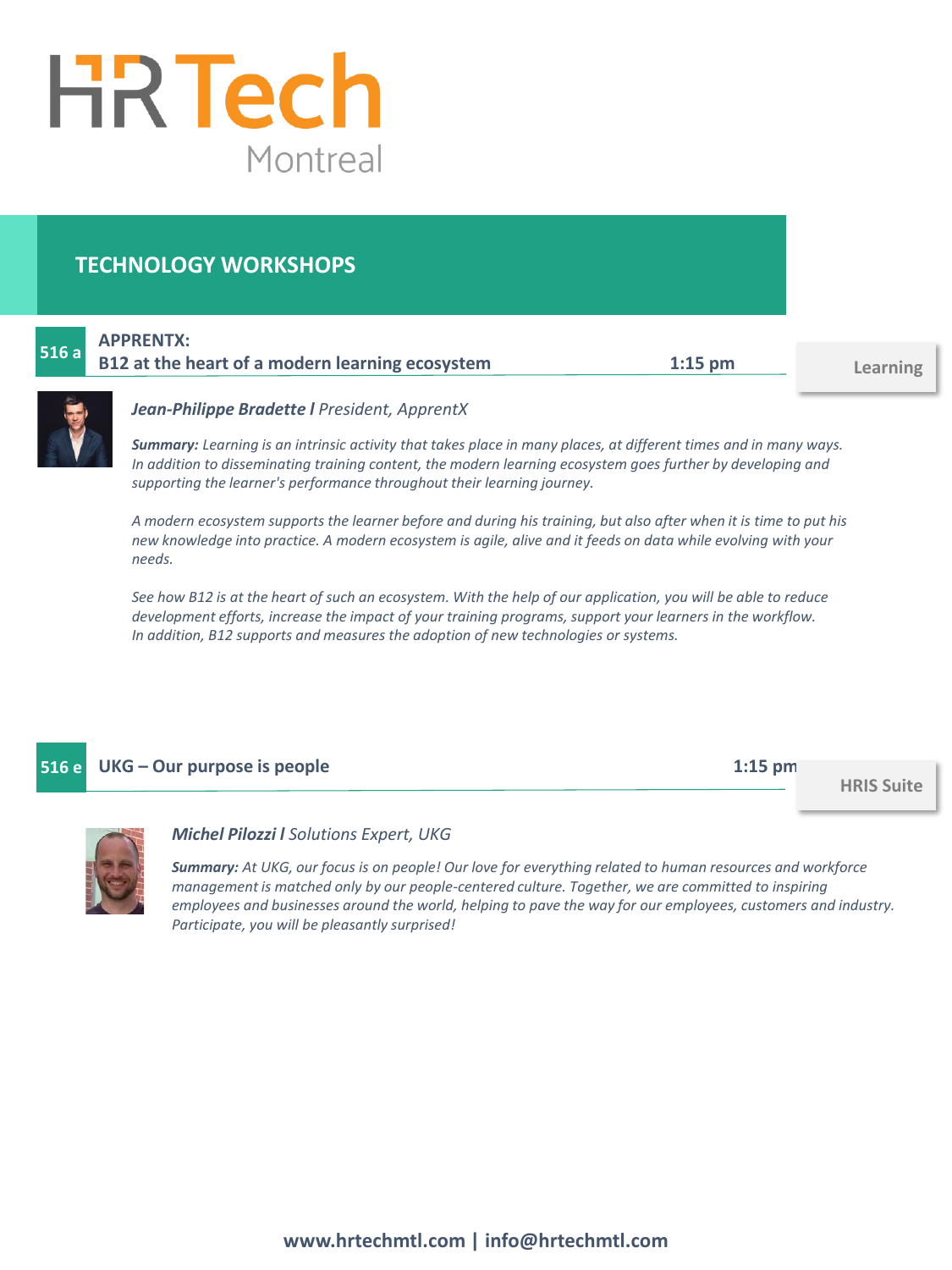

# **TECHNOLOGY WORKSHOPS**

|      | <b>APPRENTX:</b>                                |           |
|------|-------------------------------------------------|-----------|
| 516a | B12 at the heart of a modern learning ecosystem | $1:15$ pm |

**Learning**



#### *Jean-Philippe Bradette l President, ApprentX*

*Summary: Learning is an intrinsic activity that takes place in many places, at different times and in many ways. In addition to disseminating training content, the modern learning ecosystem goes further by developing and supporting the learner's performance throughout their learning journey.*

*A modern ecosystem supports the learner before and during his training, but also after when it is time to put his new knowledge into practice. A modern ecosystem is agile, alive and it feeds on data while evolving with your needs.*

*See how B12 is at the heart of such an ecosystem. With the help of our application, you will be able to reduce development efforts, increase the impact of your training programs, support your learners in the workflow. In addition, B12 supports and measures the adoption of new technologies or systems.*

# **516 e UKG – Our purpose is people 1:15 pm**

**HRIS Suite**



#### *Michel Pilozzi l Solutions Expert, UKG*

*Summary: At UKG, our focus is on people! Our love for everything related to human resources and workforce management is matched only by our people-centered culture. Together, we are committed to inspiring employees and businesses around the world, helping to pave the way for our employees, customers and industry. Participate, you will be pleasantly surprised!*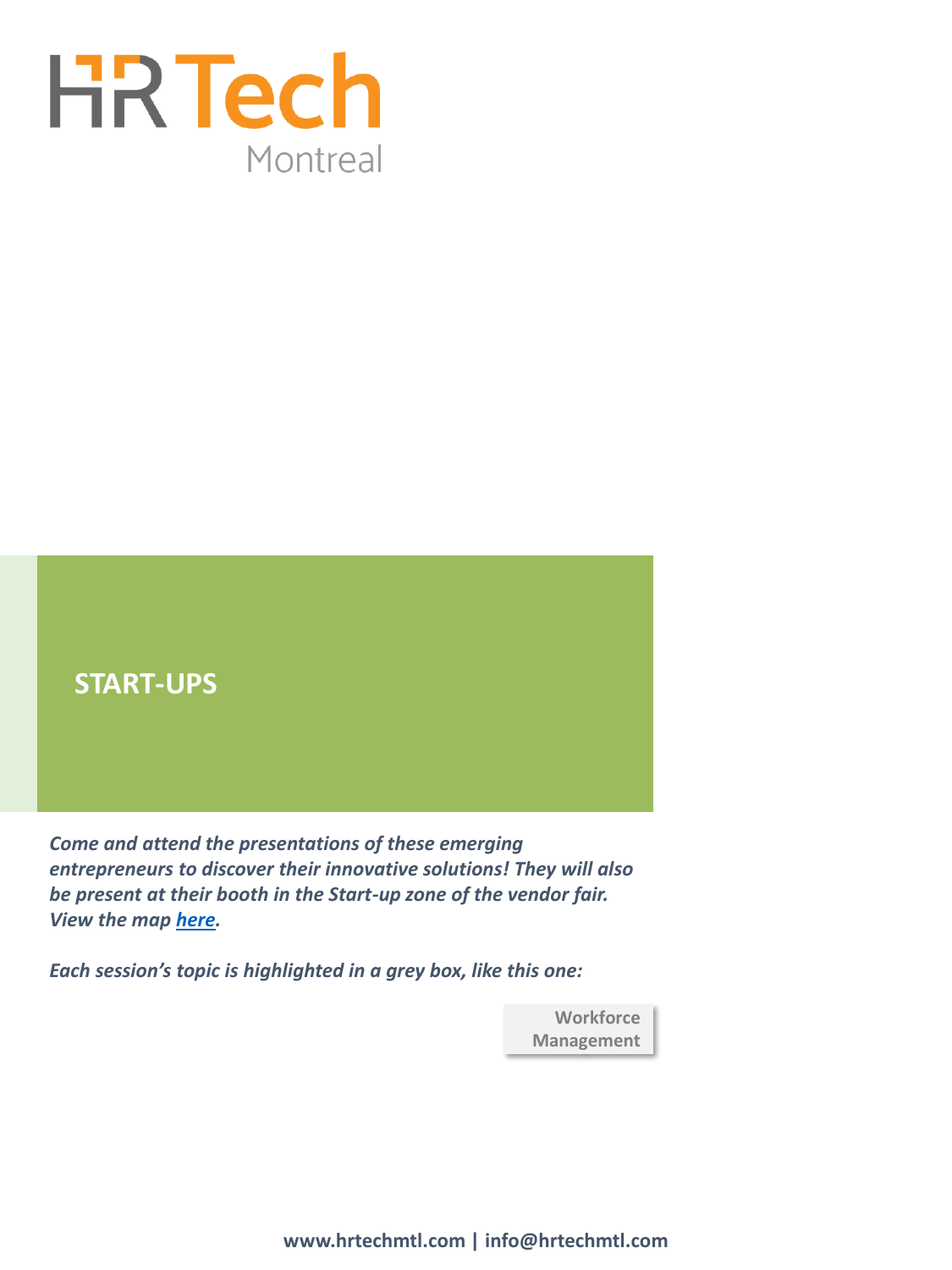



*Come and attend the presentations of these emerging entrepreneurs to discover their innovative solutions! They will also be present at their booth in the Start-up zone of the vendor fair. View the map [here](https://www.hrtechmtl.com/en/exhibitors.html).* 

*Each session's topic is highlighted in a grey box, like this one:* 

**Workforce Management**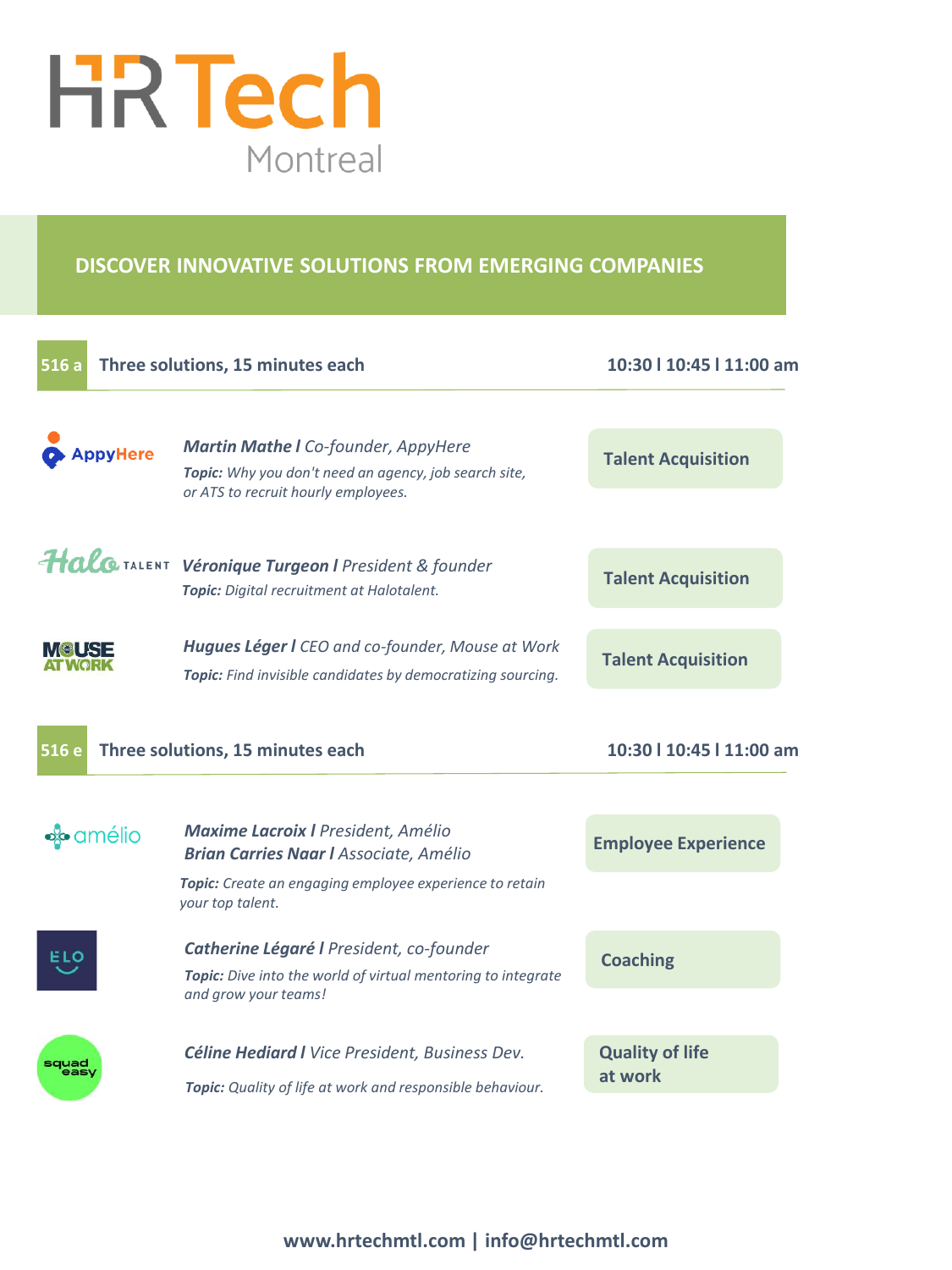

# **DISCOVER INNOVATIVE SOLUTIONS FROM EMERGING COMPANIES**

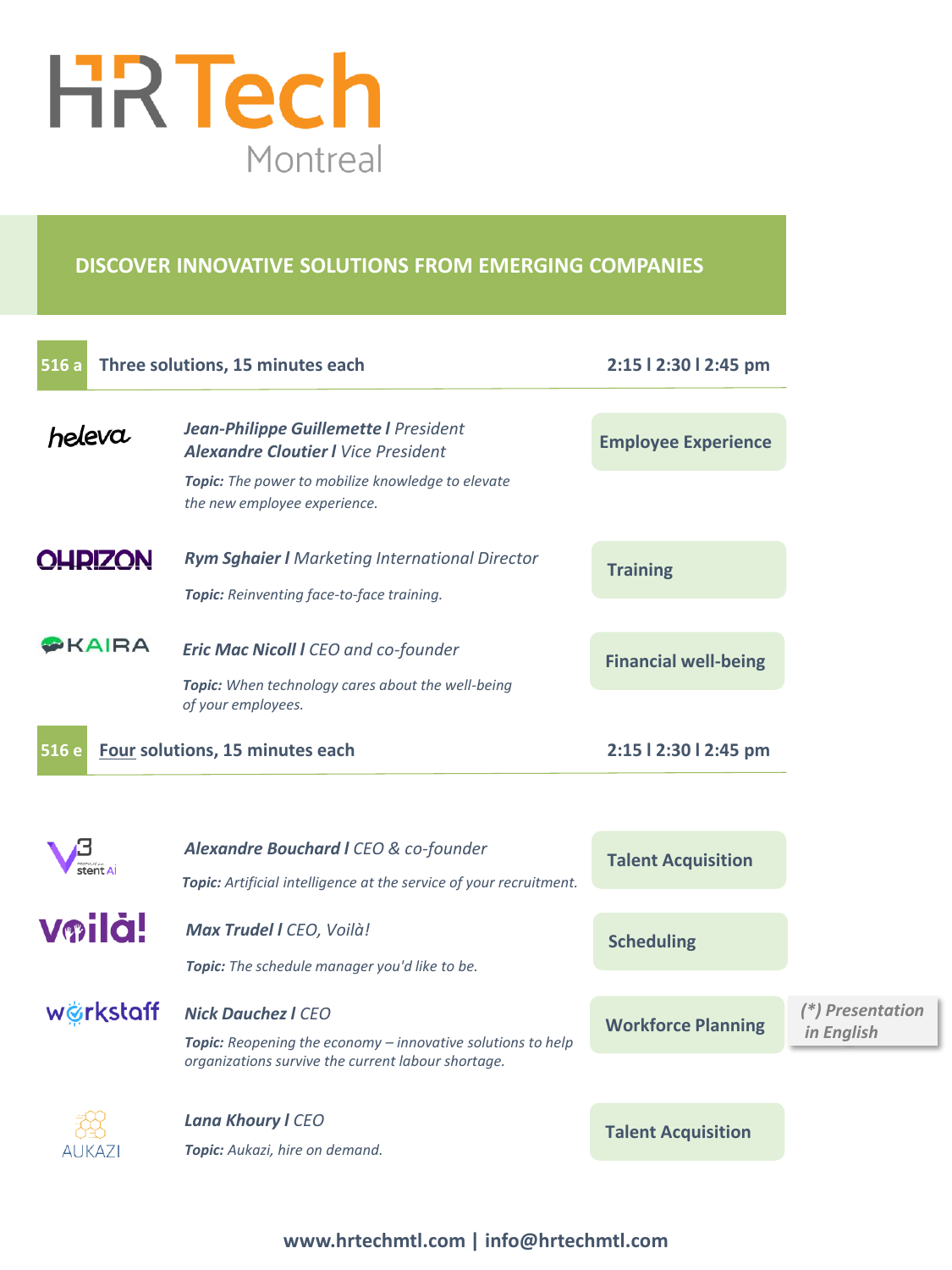

# **DISCOVER INNOVATIVE SOLUTIONS FROM EMERGING COMPANIES**

| 516a                                                           | Three solutions, 15 minutes each                                                                                                                       | 2:15   2:30   2:45 pm       |                                |
|----------------------------------------------------------------|--------------------------------------------------------------------------------------------------------------------------------------------------------|-----------------------------|--------------------------------|
| heleva                                                         | <b>Jean-Philippe Guillemette I President</b><br><b>Alexandre Cloutier I</b> Vice President<br><b>Topic:</b> The power to mobilize knowledge to elevate | <b>Employee Experience</b>  |                                |
| <b>OHRIZON</b>                                                 | the new employee experience.<br><b>Rym Sghaier I</b> Marketing International Director                                                                  |                             |                                |
|                                                                | Topic: Reinventing face-to-face training.                                                                                                              | <b>Training</b>             |                                |
| $\triangleright$ KAIRA                                         | <b>Eric Mac Nicoll I CEO and co-founder</b><br>Topic: When technology cares about the well-being                                                       | <b>Financial well-being</b> |                                |
| of your employees.<br>Four solutions, 15 minutes each<br>516 e |                                                                                                                                                        | 2:15   2:30   2:45 pm       |                                |
|                                                                |                                                                                                                                                        |                             |                                |
| ent<br>stent Al                                                | Alexandre Bouchard I CEO & co-founder<br>Topic: Artificial intelligence at the service of your recruitment.                                            | <b>Talent Acquisition</b>   |                                |
| Voilà!                                                         | Max Trudel I CEO, Voilà!<br>Topic: The schedule manager you'd like to be.                                                                              | <b>Scheduling</b>           |                                |
| wörkstaff                                                      | <b>Nick Dauchez   CEO</b><br>Topic: Reopening the economy - innovative solutions to help<br>organizations survive the current labour shortage.         | <b>Workforce Planning</b>   | (*) Presentation<br>in English |
| AUKAZ                                                          | Lana Khoury I CEO<br>Topic: Aukazi, hire on demand.                                                                                                    | <b>Talent Acquisition</b>   |                                |